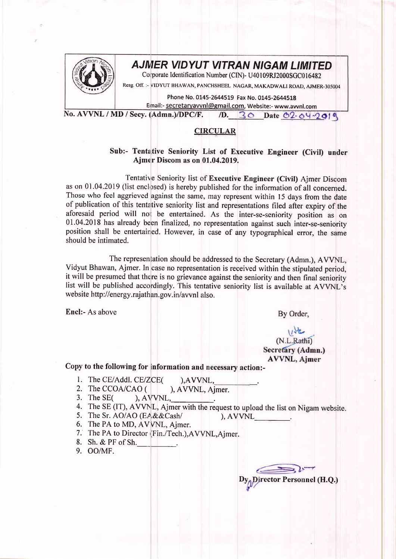

## **AJMER VIDYUT VITRAN NIGAM LIMITED**

Corporate Identification Number (CIN)- U40109RJ2000SGC016482

Resg. off. :- vIDYUT BHAWAN, PANCHSHEEL NAGAR, MAKADWALI ROAD, AJMER-305004

Phone No. 0145-2644519 Fax No. 0145-2644518 Email:- secretaryavvnl@gmail.com, Website:- www.awnl.com

No. AVVNL / MD / Secy. (Admn.)/DPC/F.  $D. 30$  Date 02-04-2019

## **CIRCULAR**

## Sub:- Tentative Seniority List of Executive Engineer (Civil) under Ajmer Discom as on 01.04.2019.

Tentative Seniority list of Executive Engineer (Civil) Ajmer Discom as on 01.04.2019 (list enclosed) is hereby published for the information of all concerned. Those who feel aggrieved against the same, may represent within 15 days from the date of publication of this tentative seniority list and representations filed after expiry of the aforesaid period will nor be entertained. As the inter-se-seniority position as on 01.04.2018 has already been finalized, no representation against such inter-se-seniority position shall be entertained. However, in case of any typographical error, the same should be intimated.

The representation should be addressed to the Secretary (Admn.), AVVNL, Vidyut Bhawan, Ajmer. In case no representation is received within the stipulated period, it will be presumed that there is no grievance against the seniority and then final seniority list will be published accordingly. This tentative seniority list is available at AVVNL's website http://energy.rajathan.gov.in/avvnl also.

Encl:- As above

By Order,

## (N.L.Rathi) Secretary (Admn.) **AVVNL, Ajmer**

Copy to the following for information and necessary action:-

- 
- 1. The CE/Addl. CE/ZCE( ), AVVNL, 2. The CCOA/CAO ( ), AVVNL, Aimer. 2. The CCOA/CAO  $($  )<br>3. The SE $($  ), AVVNL,
- 3. The SE $($
- 4. The SE (IT), AVVNL, Ajmer with the request to upload the list on Nigam website.
- 5. The Sr. AO/AO (EA&&Cash/ ), AVVNL
- 6. The PA to MD, AVVNL, Ajmer.
- 7. The PA to Director (Fin./Tech.),AVVNL,Aimer.
- 8. Sh. & PF of Sh.\_\_.
- 9. OO/MF.

f-

Director Personnel (H.Q.)